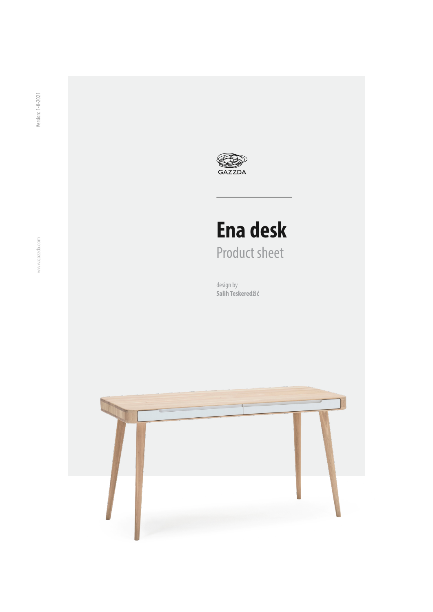

# **Ena desk** Product sheet

design by **[Salih Teskeredžić](https://www.gazzda.com/our-designers)**

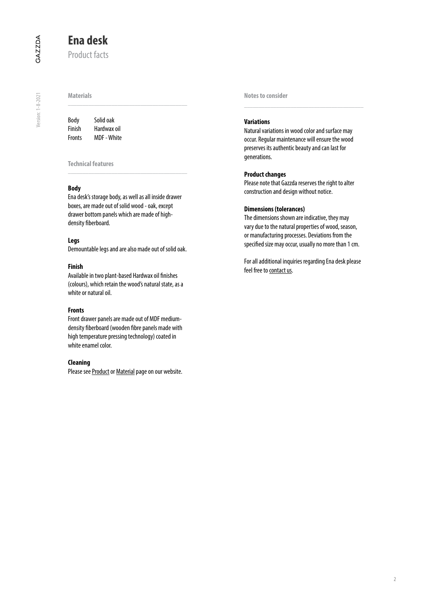Version: 1-8-2021

Version: 1-8-2021

## **Ena desk**

Product facts

| Body   | Solid oak          |  |  |
|--------|--------------------|--|--|
| Finish | Hardwax oil        |  |  |
| Fronts | <b>MDF</b> - White |  |  |

#### **Technical features**

#### **Body**

Ena desk's storage body, as well as all inside drawer boxes, are made out of solid wood - oak, except drawer bottom panels which are made of highdensity fiberboard.

 $\frac{1}{2}$  ,  $\frac{1}{2}$  ,  $\frac{1}{2}$  ,  $\frac{1}{2}$  ,  $\frac{1}{2}$  ,  $\frac{1}{2}$  ,  $\frac{1}{2}$  ,  $\frac{1}{2}$  ,  $\frac{1}{2}$  ,  $\frac{1}{2}$  ,  $\frac{1}{2}$  ,  $\frac{1}{2}$  ,  $\frac{1}{2}$  ,  $\frac{1}{2}$  ,  $\frac{1}{2}$  ,  $\frac{1}{2}$  ,  $\frac{1}{2}$  ,  $\frac{1}{2}$  ,  $\frac{1$ 

#### **Legs**

Demountable legs and are also made out of solid oak.

#### **Finish**

Available in two plant-based Hardwax oil finishes (colours), which retain the wood's natural state, as a white or natural oil.

#### **Fronts**

Front drawer panels are made out of MDF mediumdensity fiberboard (wooden fibre panels made with high temperature pressing technology) coated in white enamel color.

#### **Cleaning**

Please see [Product](https://www.gazzda.com/products/) or [Material](https://www.gazzda.com/materials) page on our website.

**Notes to consider**

#### **Variations**

Natural variations in wood color and surface may occur. Regular maintenance will ensure the wood preserves its authentic beauty and can last for generations.

\_\_\_\_\_\_\_\_\_\_\_\_\_\_\_\_\_\_\_\_\_\_\_\_\_\_\_\_\_\_\_\_\_\_\_\_\_\_\_\_\_

#### **Product changes**

Please note that Gazzda reserves the right to alter construction and design without notice.

#### **Dimensions (tolerances)**

The dimensions shown are indicative, they may vary due to the natural properties of wood, season, or manufacturing processes. Deviations from the specified size may occur, usually no more than 1 cm.

For all additional inquiries regarding Ena desk please feel free to [contact us](mailto:support%40gazzda.com?subject=Ena%20desk%20inquiry).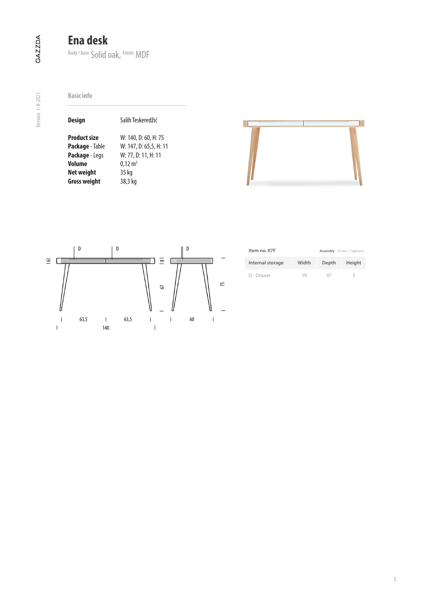# **Ena desk**

Body / base Solid oak, Fronts MDF

**Basic info**

| <b>Design</b>          | Salih Teskeredžić      |  |  |  |
|------------------------|------------------------|--|--|--|
| <b>Product size</b>    | W: 140, D: 60, H: 75   |  |  |  |
| <b>Package</b> - Table | W: 147, D: 65,5, H: 11 |  |  |  |
| Package - Legs         | W: 77, D: 11, H: 11    |  |  |  |
| Volume                 | $0,12 \text{ m}^3$     |  |  |  |
| Net weight             | 35 kg                  |  |  |  |
| <b>Gross weight</b>    | 38,3 kg                |  |  |  |





| Item no. 07F     | Assembly 15 min / 2 persons |       |        |  |
|------------------|-----------------------------|-------|--------|--|
| Internal storage | Width                       | Depth | Height |  |
| D - Drawer       | 59                          | 47    | R      |  |

Version: 1-8-2021

Version: 1-8-2021

3